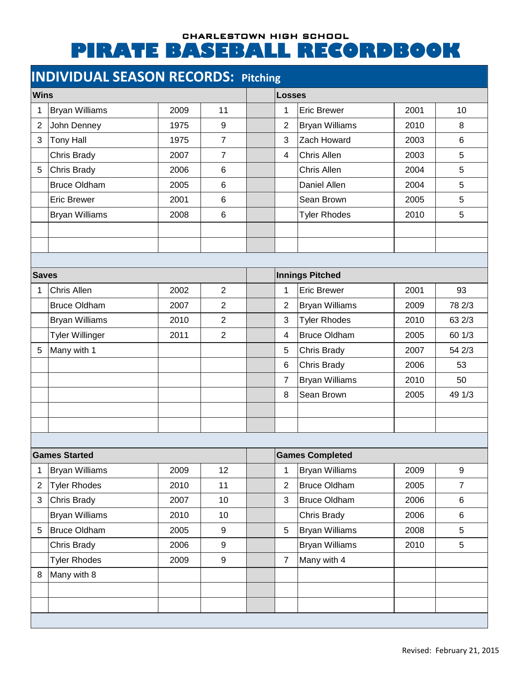## CHARLESTOWN HIGH SCHOOL **PIRATE BASEBALL RECORDBOOK**

## **INDIVIDUAL SEASON RECORDS: Pitching**

| <b>Wins</b>          |                        |      |                |   | Losses                 |                       |      |                |  |  |
|----------------------|------------------------|------|----------------|---|------------------------|-----------------------|------|----------------|--|--|
| 11<br>2009<br>1      |                        |      |                | 1 | <b>Eric Brewer</b>     | 2001                  | 10   |                |  |  |
| $\overline{2}$       | <b>Bryan Williams</b>  | 1975 | 9              |   | $\overline{2}$         | <b>Bryan Williams</b> | 2010 | 8              |  |  |
| 3                    | John Denney            | 1975 | 7              |   | 3                      | Zach Howard           | 2003 | 6              |  |  |
|                      | <b>Tony Hall</b>       |      | $\overline{7}$ |   |                        |                       |      |                |  |  |
|                      | Chris Brady            | 2007 |                |   | 4                      | Chris Allen           | 2003 | 5              |  |  |
| 5                    | Chris Brady            | 2006 | $\,6$          |   |                        | Chris Allen           | 2004 | 5              |  |  |
|                      | <b>Bruce Oldham</b>    | 2005 | $6\phantom{1}$ |   |                        | Daniel Allen          | 2004 | 5              |  |  |
|                      | <b>Eric Brewer</b>     | 2001 | $6\phantom{1}$ |   |                        | Sean Brown            | 2005 | 5              |  |  |
|                      | <b>Bryan Williams</b>  | 2008 | $\,6\,$        |   |                        | <b>Tyler Rhodes</b>   | 2010 | 5              |  |  |
|                      |                        |      |                |   |                        |                       |      |                |  |  |
|                      |                        |      |                |   |                        |                       |      |                |  |  |
|                      |                        |      |                |   |                        |                       |      |                |  |  |
|                      | <b>Saves</b>           |      |                |   | <b>Innings Pitched</b> |                       |      |                |  |  |
| 1                    | Chris Allen            | 2002 | $\overline{2}$ |   | 1                      | <b>Eric Brewer</b>    | 2001 | 93             |  |  |
|                      | <b>Bruce Oldham</b>    | 2007 | $\overline{2}$ |   | $\overline{2}$         | <b>Bryan Williams</b> | 2009 | 78 2/3         |  |  |
|                      | <b>Bryan Williams</b>  | 2010 | $\overline{2}$ |   | 3                      | <b>Tyler Rhodes</b>   | 2010 | 63 2/3         |  |  |
|                      | <b>Tyler Willinger</b> | 2011 | $\overline{2}$ |   | 4                      | <b>Bruce Oldham</b>   | 2005 | 60 1/3         |  |  |
| 5                    | Many with 1            |      |                |   | 5                      | Chris Brady           | 2007 | 54 2/3         |  |  |
|                      |                        |      |                |   | 6                      | Chris Brady           | 2006 | 53             |  |  |
|                      |                        |      |                |   | $\overline{7}$         | <b>Bryan Williams</b> | 2010 | 50             |  |  |
|                      |                        |      |                |   | 8                      | Sean Brown            | 2005 | 49 1/3         |  |  |
|                      |                        |      |                |   |                        |                       |      |                |  |  |
|                      |                        |      |                |   |                        |                       |      |                |  |  |
|                      |                        |      |                |   |                        |                       |      |                |  |  |
| <b>Games Started</b> |                        |      |                |   | <b>Games Completed</b> |                       |      |                |  |  |
| 1                    | <b>Bryan Williams</b>  | 2009 | 12             |   | $\mathbf{1}$           | Bryan Williams        | 2009 | 9              |  |  |
| $\overline{2}$       | <b>Tyler Rhodes</b>    | 2010 | 11             |   | $\overline{2}$         | <b>Bruce Oldham</b>   | 2005 | $\overline{7}$ |  |  |
| 3                    | Chris Brady            | 2007 | 10             |   | 3                      | <b>Bruce Oldham</b>   | 2006 | $\,6$          |  |  |
|                      | <b>Bryan Williams</b>  | 2010 | 10             |   |                        | Chris Brady           | 2006 | $\,6$          |  |  |
| 5                    | Bruce Oldham           | 2005 | 9              |   | 5                      | <b>Bryan Williams</b> | 2008 | 5              |  |  |
|                      | Chris Brady            | 2006 | 9              |   |                        | <b>Bryan Williams</b> | 2010 | 5              |  |  |
|                      | <b>Tyler Rhodes</b>    | 2009 | 9              |   | $\overline{7}$         | Many with 4           |      |                |  |  |
| 8                    | Many with 8            |      |                |   |                        |                       |      |                |  |  |
|                      |                        |      |                |   |                        |                       |      |                |  |  |
|                      |                        |      |                |   |                        |                       |      |                |  |  |
|                      |                        |      |                |   |                        |                       |      |                |  |  |
|                      |                        |      |                |   |                        |                       |      |                |  |  |